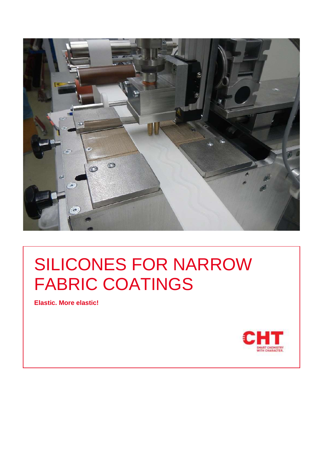

# SILICONES FOR NARROW FABRIC COATINGS

**Elastic. More elastic!**

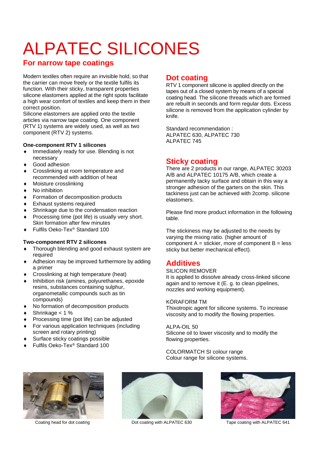# ALPATEC SILICONES

## **For narrow tape coatings**

Modern textiles often require an invisible hold, so that the carrier can move freely or the textile fulfils its function. With their sticky, transparent properties silicone elastomers applied at the right spots facilitate a high wear comfort of textiles and keep them in their correct position.

Silicone elastomers are applied onto the textile articles via narrow tape coating. One component (RTV 1) systems are widely used, as well as two component (RTV 2) systems.

#### **One-component RTV 1 silicones**

- **Immediately ready for use. Blending is not** necessary
- Good adhesion
- ◆ Crosslinking at room temperature and recommended with addition of heat
- Moisture crosslinking
- No inhibition
- ◆ Formation of decomposition products
- Exhaust systems required
- ◆ Shrinkage due to the condensation reaction
- $\bullet$  Processing time (pot life) is usually very short. Skin formation after few minutes
- Fulfils Oeko-Tex® Standard 100

#### **Two-component RTV 2 silicones**

- Thorough blending and good exhaust system are required
- ◆ Adhesion may be improved furthermore by adding a primer
- Crosslinking at high temperature (heat)
- Inhibition risk (amines, polyurethanes, epoxide resins, substances containing sulphur, organometallic compounds such as tin compounds)
- ◆ No formation of decomposition products
- $\triangleleft$  Shrinkage < 1 %
- ◆ Processing time (pot life) can be adjusted
- ◆ For various application techniques (including screen and rotary printing)
- Surface sticky coatings possible
- Fulfils Oeko-Tex® Standard 100

### **Dot coating**

RTV 1 component silicone is applied directly on the tapes out of a closed system by means of a special coating head. The silicone threads which are formed are rebuilt in seconds and form regular dots. Excess silicone is removed from the application cylinder by knife.

Standard recommendation : ALPATEC 630, ALPATEC 730 ALPATEC 745

## **Sticky coating**

There are 2 products in our range, ALPATEC 30203 A/B and ALPATEC 10175 A/B, which create a permanently tacky surface and obtain in this way a stronger adhesion of the garters on the skin. This tackiness just can be achieved with 2comp. silicone elastomers.

Please find more product information in the following table.

The stickiness may be adjusted to the needs by varying the mixing ratio. (higher amount of component  $A =$  stickier, more of component  $B =$  less sticky but better mechanical effect).

## **Additives**

SILICON REMOVER

It is applied to dissolve already cross-linked silicone again and to remove it (E. g. to clean pipelines, nozzles and working equipment).

#### KÖRAFORM TM

Thixotropic agent for silicone systems. To increase viscosity and to modify the flowing properties.

#### ALPA-OIL 50

Silicone oil to lower viscosity and to modify the flowing properties.

COLORMATCH SI colour range Colour range for silicone systems.







Coating head for dot coating **Dot coating with ALPATEC 630** Tape coating with ALPATEC 641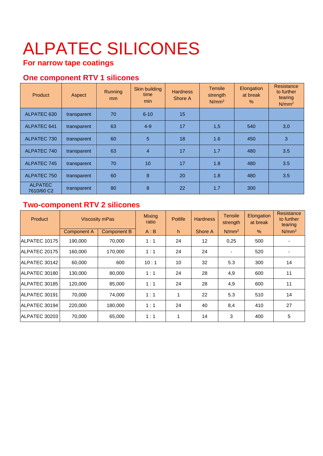# ALPATEC SILICONES

## **For narrow tape coatings**

## **One component RTV 1 silicones**

| Product                                  | Aspect      | Running<br>mm | Skin building<br>time<br>min | <b>Hardness</b><br>Shore A | <b>Tensile</b><br>strength<br>N/mm <sup>2</sup> | Elongation<br>at break<br>$\%$ | Resistance<br>to further<br>tearing<br>N/mm <sup>2</sup> |
|------------------------------------------|-------------|---------------|------------------------------|----------------------------|-------------------------------------------------|--------------------------------|----------------------------------------------------------|
| ALPATEC 630                              | transparent | 70            | $6 - 10$                     | 15                         |                                                 |                                |                                                          |
| <b>ALPATEC 641</b>                       | transparent | 63            | $4 - 9$                      | 17                         | 1,5                                             | 540                            | 3,0                                                      |
| ALPATEC 730                              | transparent | 60            | 5                            | 18                         | 1.6                                             | 450                            | 3                                                        |
| ALPATEC 740                              | transparent | 63            | $\overline{4}$               | 17                         | 1.7                                             | 480                            | 3.5                                                      |
| ALPATEC 745                              | transparent | 70            | 10 <sup>°</sup>              | 17                         | 1.8                                             | 480                            | 3.5                                                      |
| ALPATEC 750                              | transparent | 60            | 8                            | 20                         | 1.8                                             | 480                            | 3.5                                                      |
| <b>ALPATEC</b><br>7610/60 C <sub>2</sub> | transparent | 80            | 8                            | 22                         | 1.7                                             | 300                            |                                                          |

## **Two-component RTV 2 silicones**

| <b>Product</b>       | Viscosity mPas |             | <b>Mixing</b><br>ratio | Potlife | <b>Hardness</b> | <b>Tensile</b><br>strength | Elongation<br>at break | Resistance<br>to further<br>tearing |
|----------------------|----------------|-------------|------------------------|---------|-----------------|----------------------------|------------------------|-------------------------------------|
|                      | Component A    | Component B | A:B                    | h       | Shore A         | $N/mm^2$                   | $\%$                   | $N/mm^2$                            |
| <b>ALPATEC 10175</b> | 190,000        | 70,000      | 1:1                    | 24      | 12              | 0,25                       | 500                    |                                     |
| ALPATEC 20175        | 160,000        | 170,000     | 1:1                    | 24      | 24              |                            | 520                    |                                     |
| ALPATEC 30142        | 60,000         | 600         | 10:1                   | 10      | 32              | 5.3                        | 300                    | 14                                  |
| <b>ALPATEC 30180</b> | 130,000        | 80,000      | 1:1                    | 24      | 28              | 4,9                        | 600                    | 11                                  |
| <b>ALPATEC 30185</b> | 120,000        | 85,000      | 1:1                    | 24      | 28              | 4,9                        | 600                    | 11                                  |
| <b>ALPATEC 30191</b> | 70,000         | 74,000      | 1:1                    | 1       | 22              | 5.3                        | 510                    | 14                                  |
| ALPATEC 30194        | 220,000        | 180,000     | 1:1                    | 24      | 40              | 8,4                        | 410                    | 27                                  |
| ALPATEC 30203        | 70,000         | 65,000      | 1:1                    | 1       | 14              | 3                          | 400                    | 5                                   |